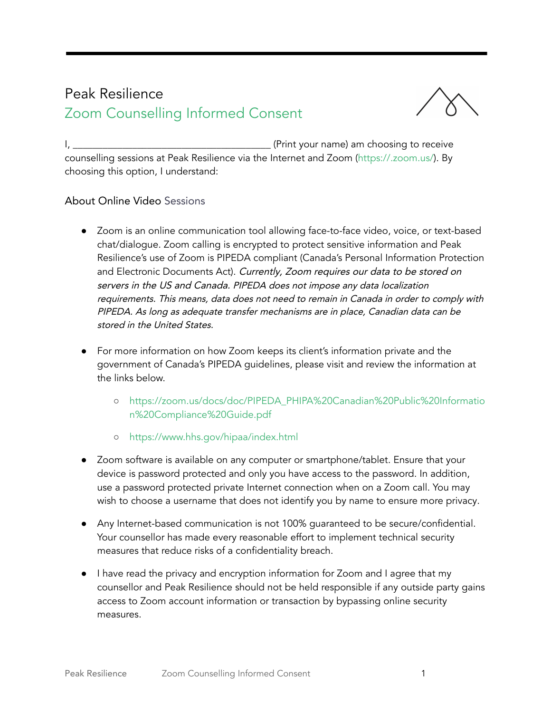## Peak Resilience Zoom Counselling Informed Consent



I, \_\_\_\_\_\_\_\_\_\_\_\_\_\_\_\_\_\_\_\_\_\_\_\_\_\_\_\_\_\_\_\_\_\_\_\_\_\_\_\_ (Print your name) am choosing to receive counselling sessions at Peak Resilience via the Internet and Zoom (<https://.zoom.us/>). By choosing this option, I understand:

## About Online Video Sessions

- Zoom is an online communication tool allowing face-to-face video, voice, or text-based chat/dialogue. Zoom calling is encrypted to protect sensitive information and Peak Resilience's use of Zoom is PIPEDA compliant (Canada's Personal Information Protection and Electronic Documents Act). Currently, Zoom requires our data to be stored on servers in the US and Canada. PIPEDA does not impose any data localization requirements. This means, data does not need to remain in Canada in order to comply with PIPEDA. As long as adequate transfer mechanisms are in place, Canadian data can be stored in the United States.
- For more information on how Zoom keeps its client's information private and the government of Canada's PIPEDA guidelines, please visit and review the information at the links below.
	- [https://zoom.us/docs/doc/PIPEDA\\_PHIPA%20Canadian%20Public%20Informatio](https://zoom.us/docs/doc/PIPEDA_PHIPA%20Canadian%20Public%20Information%20Compliance%20Guide.pdf) [n%20Compliance%20Guide.pdf](https://zoom.us/docs/doc/PIPEDA_PHIPA%20Canadian%20Public%20Information%20Compliance%20Guide.pdf)
	- <https://www.hhs.gov/hipaa/index.html>
- Zoom software is available on any computer or smartphone/tablet. Ensure that your device is password protected and only you have access to the password. In addition, use a password protected private Internet connection when on a Zoom call. You may wish to choose a username that does not identify you by name to ensure more privacy.
- Any Internet-based communication is not 100% guaranteed to be secure/confidential. Your counsellor has made every reasonable effort to implement technical security measures that reduce risks of a confidentiality breach.
- I have read the privacy and encryption information for Zoom and I agree that my counsellor and Peak Resilience should not be held responsible if any outside party gains access to Zoom account information or transaction by bypassing online security measures.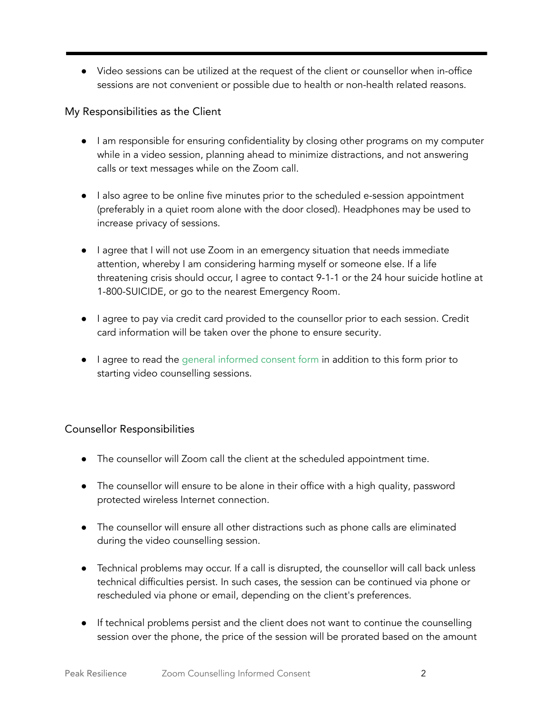● Video sessions can be utilized at the request of the client or counsellor when in-office sessions are not convenient or possible due to health or non-health related reasons.

## My Responsibilities as the Client

- I am responsible for ensuring confidentiality by closing other programs on my computer while in a video session, planning ahead to minimize distractions, and not answering calls or text messages while on the Zoom call.
- I also agree to be online five minutes prior to the scheduled e-session appointment (preferably in a quiet room alone with the door closed). Headphones may be used to increase privacy of sessions.
- I agree that I will not use Zoom in an emergency situation that needs immediate attention, whereby I am considering harming myself or someone else. If a life threatening crisis should occur, I agree to contact 9-1-1 or the 24 hour suicide hotline at 1-800-SUICIDE, or go to the nearest Emergency Room.
- I agree to pay via credit card provided to the counsellor prior to each session. Credit card information will be taken over the phone to ensure security.
- I agree to read the general [informed consent](https://static1.squarespace.com/static/5452f159e4b0a743e6925e23/t/5dfc44e3147f8f448f959117/1576813797123/Peak+Resilience+Counselling+%E2%80%93+Informed+Consent_2020.pdf) form in addition to this form prior to starting video counselling sessions.

## Counsellor Responsibilities

- The counsellor will Zoom call the client at the scheduled appointment time.
- The counsellor will ensure to be alone in their office with a high quality, password protected wireless Internet connection.
- The counsellor will ensure all other distractions such as phone calls are eliminated during the video counselling session.
- Technical problems may occur. If a call is disrupted, the counsellor will call back unless technical difficulties persist. In such cases, the session can be continued via phone or rescheduled via phone or email, depending on the client's preferences.
- If technical problems persist and the client does not want to continue the counselling session over the phone, the price of the session will be prorated based on the amount